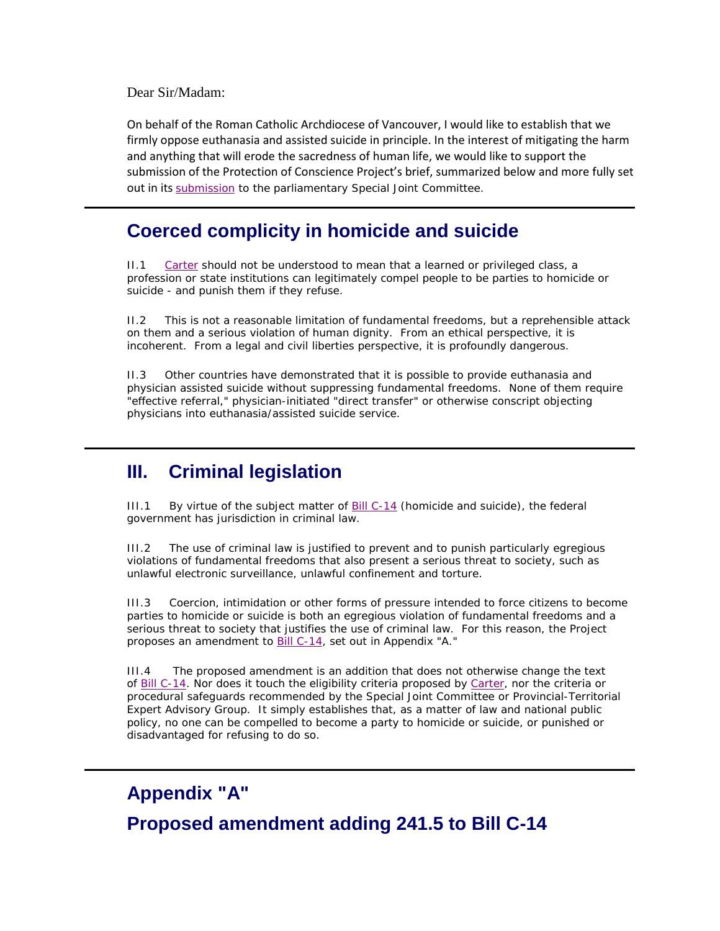Dear Sir/Madam:

On behalf of the Roman Catholic Archdiocese of Vancouver, I would like to establish that we firmly oppose euthanasia and assisted suicide in principle. In the interest of mitigating the harm and anything that will erode the sacredness of human life, we would like to support the submission of the Protection of Conscience Project's brief, summarized below and more fully set out in its [submission](http://consciencelaws.org/publications/submissions/submissions-023-001-parl.aspx) to the parliamentary Special Joint Committee.

# **Coerced complicity in homicide and suicide**

II.1 *[Carter](https://scc-csc.lexum.com/scc-csc/scc-csc/en/item/14637/index.do)* should not be understood to mean that a learned or privileged class, a profession or state institutions can legitimately compel people to be parties to homicide or suicide - and punish them if they refuse.

II.2 This is not a reasonable limitation of fundamental freedoms, but a reprehensible attack on them and a serious violation of human dignity. From an ethical perspective, it is incoherent. From a legal and civil liberties perspective, it is profoundly dangerous.

II.3 Other countries have demonstrated that it is possible to provide euthanasia and physician assisted suicide without suppressing fundamental freedoms. None of them require "effective referral," physician-initiated "direct transfer" or otherwise conscript objecting physicians into euthanasia/assisted suicide service.

# **III. Criminal legislation**

III.1 By virtue of the subject matter of [Bill C-14](http://www.parl.gc.ca/HousePublications/Publication.aspx?Mode=1&DocId=8183660&Language=E) (homicide and suicide), the federal government has jurisdiction in criminal law.

III.2 The use of criminal law is justified to prevent and to punish particularly egregious violations of fundamental freedoms that also present a serious threat to society, such as unlawful electronic surveillance, unlawful confinement and torture.

III.3 Coercion, intimidation or other forms of pressure intended to force citizens to become parties to homicide or suicide is both an egregious violation of fundamental freedoms and a serious threat to society that justifies the use of criminal law. For this reason, the Project proposes an amendment to [Bill C-14,](http://www.parl.gc.ca/HousePublications/Publication.aspx?Mode=1&DocId=8183660&Language=E) set out in Appendix "A."

III.4 The proposed amendment is an addition that does not otherwise change the text of [Bill C-14.](http://www.parl.gc.ca/HousePublications/Publication.aspx?Mode=1&DocId=8183660&Language=E) Nor does it touch the eligibility criteria proposed by *[Carter](https://scc-csc.lexum.com/scc-csc/scc-csc/en/item/14637/index.do)*, nor the criteria or procedural safeguards recommended by the Special Joint Committee or Provincial-Territorial Expert Advisory Group. It simply establishes that, as a matter of law and national public policy, no one can be compelled to become a party to homicide or suicide, or punished or disadvantaged for refusing to do so.

# **Appendix "A" Proposed amendment adding 241.5 to Bill C-14**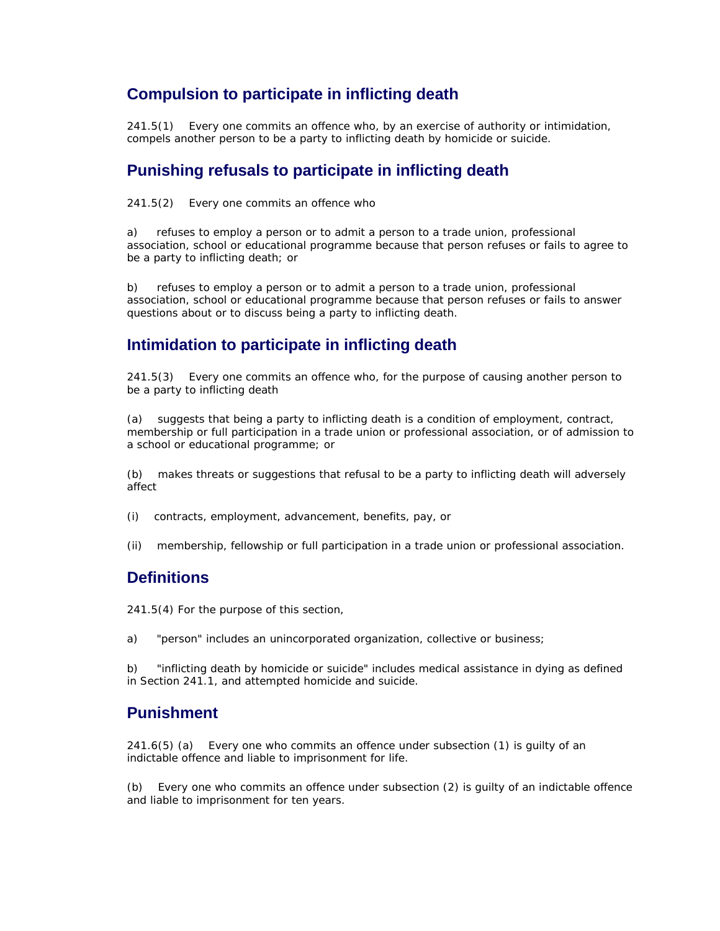#### **Compulsion to participate in inflicting death**

241.5(1) Every one commits an offence who, by an exercise of authority or intimidation, compels another person to be a party to inflicting death by homicide or suicide.

#### **Punishing refusals to participate in inflicting death**

241.5(2) Every one commits an offence who

a) refuses to employ a person or to admit a person to a trade union, professional association, school or educational programme because that person refuses or fails to agree to be a party to inflicting death; or

b) refuses to employ a person or to admit a person to a trade union, professional association, school or educational programme because that person refuses or fails to answer questions about or to discuss being a party to inflicting death.

## **Intimidation to participate in inflicting death**

241.5(3) Every one commits an offence who, for the purpose of causing another person to be a party to inflicting death

(a) suggests that being a party to inflicting death is a condition of employment, contract, membership or full participation in a trade union or professional association, or of admission to a school or educational programme; or

(b) makes threats or suggestions that refusal to be a party to inflicting death will adversely affect

- (i) contracts, employment, advancement, benefits, pay, or
- (ii) membership, fellowship or full participation in a trade union or professional association.

## **Definitions**

241.5(4) For the purpose of this section,

a) "person" includes an unincorporated organization, collective or business;

b) "inflicting death by homicide or suicide" includes medical assistance in dying as defined in Section 241.1, and attempted homicide and suicide.

### **Punishment**

241.6(5) (a) Every one who commits an offence under subsection (1) is guilty of an indictable offence and liable to imprisonment for life.

(b) Every one who commits an offence under subsection (2) is guilty of an indictable offence and liable to imprisonment for ten years.